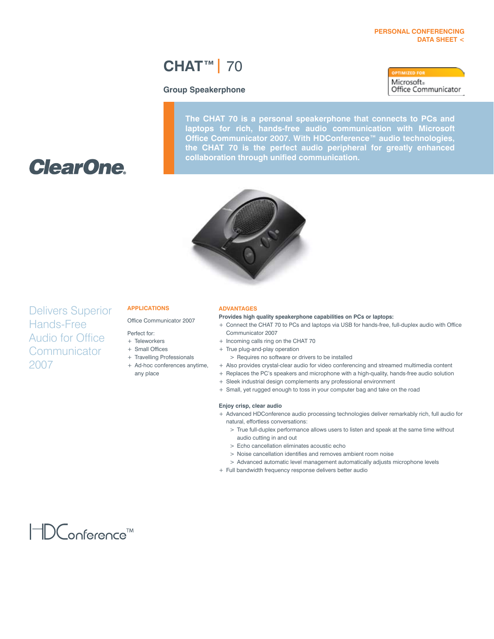#### **Personal Conferencing Data Sheet <**

## **CHAT™|** 70

#### **Group Speakerphone**

Microsoft» Office Communicator

**The CHAT 70 is a personal speakerphone that connects to PCs and laptops for rich, hands-free audio communication with Microsoft Office Communicator 2007. With HDConference™ audio technologies, the CHAT 70 is the perfect audio peripheral for greatly enhanced collaboration through unified communication.**



# **ClearOne**

### Delivers Superior Hands-Free Audio for Office **Communicator** 2007

#### **Applications**

Office Communicator 2007

- Perfect for:
- + Teleworkers
- + Small Offices
- + Travelling Professionals
- + Ad-hoc conferences anytime,
- any place

#### **Advantages**

**Provides high quality speakerphone capabilities on PCs or laptops:** 

- + Connect the CHAT 70 to PCs and laptops via USB for hands-free, full-duplex audio with Office Communicator 2007
- + Incoming calls ring on the CHAT 70
- + True plug-and-play operation
- > Requires no software or drivers to be installed
- + Also provides crystal-clear audio for video conferencing and streamed multimedia content
- + Replaces the PC's speakers and microphone with a high-quality, hands-free audio solution
- + Sleek industrial design complements any professional environment
- + Small, yet rugged enough to toss in your computer bag and take on the road

#### **Enjoy crisp, clear audio**

- + Advanced HDConference audio processing technologies deliver remarkably rich, full audio for natural, effortless conversations:
	- > True full-duplex performance allows users to listen and speak at the same time without audio cutting in and out
	- > Echo cancellation eliminates acoustic echo
	- > Noise cancellation identifies and removes ambient room noise
	- > Advanced automatic level management automatically adjusts microphone levels
- + Full bandwidth frequency response delivers better audio